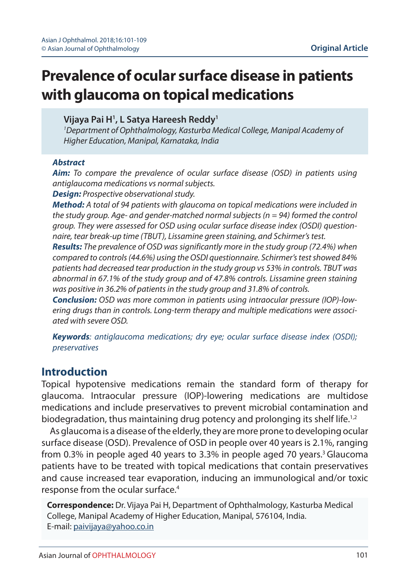# **Prevalence of ocular surface disease in patients with glaucoma on topical medications**

### **Vijaya Pai H1 , L Satya Hareesh Reddy1**

*1 Department of Ophthalmology, Kasturba Medical College, Manipal Academy of Higher Education, Manipal, Karnataka, India*

#### *Abstract*

*Aim: To compare the prevalence of ocular surface disease (OSD) in patients using antiglaucoma medications vs normal subjects.*

*Design: Prospective observational study.*

*Method: A total of 94 patients with glaucoma on topical medications were included in the study group. Age- and gender-matched normal subjects (n = 94) formed the control group. They were assessed for OSD using ocular surface disease index (OSDI) questionnaire, tear break-up time (TBUT), Lissamine green staining, and Schirmer's test.*

*Results: The prevalence of OSD was significantly more in the study group (72.4%) when compared to controls (44.6%) using the OSDI questionnaire. Schirmer's test showed 84% patients had decreased tear production in the study group vs 53% in controls. TBUT was abnormal in 67.1% of the study group and of 47.8% controls. Lissamine green staining was positive in 36.2% of patients in the study group and 31.8% of controls.* 

*Conclusion: OSD was more common in patients using intraocular pressure (IOP)-lowering drugs than in controls. Long-term therapy and multiple medications were associated with severe OSD.*

*Keywords: antiglaucoma medications; dry eye; ocular surface disease index (OSDI); preservatives*

## **Introduction**

Topical hypotensive medications remain the standard form of therapy for glaucoma. Intraocular pressure (IOP)-lowering medications are multidose medications and include preservatives to prevent microbial contamination and biodegradation, thus maintaining drug potency and prolonging its shelf life.<sup>1,2</sup>

As glaucoma is a disease of the elderly, they are more prone to developing ocular surface disease (OSD). Prevalence of OSD in people over 40 years is 2.1%, ranging from 0.3% in people aged 40 years to 3.3% in people aged 70 years.<sup>3</sup> Glaucoma patients have to be treated with topical medications that contain preservatives and cause increased tear evaporation, inducing an immunological and/or toxic response from the ocular surface.<sup>4</sup>

**Correspondence:** Dr. Vijaya Pai H, Department of Ophthalmology, Kasturba Medical College, Manipal Academy of Higher Education, Manipal, 576104, India. E-mail: paivijaya@yahoo.co.in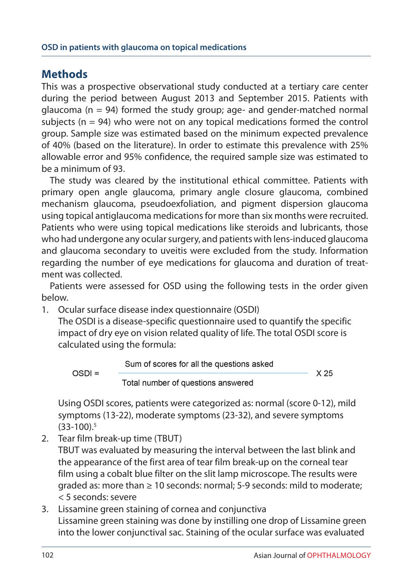## **Methods**

This was a prospective observational study conducted at a tertiary care center during the period between August 2013 and September 2015. Patients with glaucoma ( $n = 94$ ) formed the study group; age- and gender-matched normal subjects ( $n = 94$ ) who were not on any topical medications formed the control group. Sample size was estimated based on the minimum expected prevalence of 40% (based on the literature). In order to estimate this prevalence with 25% allowable error and 95% confidence, the required sample size was estimated to be a minimum of 93.

The study was cleared by the institutional ethical committee. Patients with primary open angle glaucoma, primary angle closure glaucoma, combined mechanism glaucoma, pseudoexfoliation, and pigment dispersion glaucoma using topical antiglaucoma medications for more than six months were recruited. Patients who were using topical medications like steroids and lubricants, those who had undergone any ocular surgery, and patients with lens-induced glaucoma and glaucoma secondary to uveitis were excluded from the study. Information regarding the number of eye medications for glaucoma and duration of treatment was collected.

Patients were assessed for OSD using the following tests in the order given below.

1. Ocular surface disease index questionnaire (OSDI)

The OSDI is a disease-specific questionnaire used to quantify the specific impact of dry eye on vision related quality of life. The total OSDI score is calculated using the formula:

Sum of scores for all the questions asked  $OSDI =$ X 25 Total number of questions answered

Using OSDI scores, patients were categorized as: normal (score 0-12), mild symptoms (13-22), moderate symptoms (23-32), and severe symptoms (33-100).5

2. Tear film break-up time (TBUT)

TBUT was evaluated by measuring the interval between the last blink and the appearance of the first area of tear film break-up on the corneal tear film using a cobalt blue filter on the slit lamp microscope. The results were graded as: more than ≥ 10 seconds: normal; 5-9 seconds: mild to moderate; < 5 seconds: severe

3. Lissamine green staining of cornea and conjunctiva Lissamine green staining was done by instilling one drop of Lissamine green into the lower conjunctival sac. Staining of the ocular surface was evaluated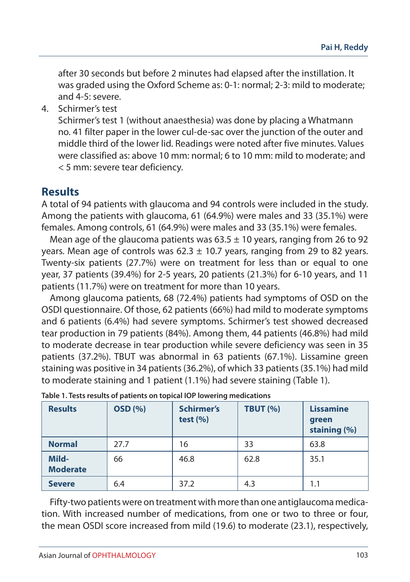after 30 seconds but before 2 minutes had elapsed after the instillation. It was graded using the Oxford Scheme as: 0-1: normal; 2-3: mild to moderate; and 4-5: severe.

4. Schirmer's test

Schirmer's test 1 (without anaesthesia) was done by placing a Whatmann no. 41 filter paper in the lower cul-de-sac over the junction of the outer and middle third of the lower lid. Readings were noted after five minutes. Values were classified as: above 10 mm: normal; 6 to 10 mm: mild to moderate; and < 5 mm: severe tear deficiency.

## **Results**

A total of 94 patients with glaucoma and 94 controls were included in the study. Among the patients with glaucoma, 61 (64.9%) were males and 33 (35.1%) were females. Among controls, 61 (64.9%) were males and 33 (35.1%) were females.

Mean age of the glaucoma patients was  $63.5 \pm 10$  years, ranging from 26 to 92 years. Mean age of controls was  $62.3 \pm 10.7$  years, ranging from 29 to 82 years. Twenty-six patients (27.7%) were on treatment for less than or equal to one year, 37 patients (39.4%) for 2-5 years, 20 patients (21.3%) for 6-10 years, and 11 patients (11.7%) were on treatment for more than 10 years.

Among glaucoma patients, 68 (72.4%) patients had symptoms of OSD on the OSDI questionnaire. Of those, 62 patients (66%) had mild to moderate symptoms and 6 patients (6.4%) had severe symptoms. Schirmer's test showed decreased tear production in 79 patients (84%). Among them, 44 patients (46.8%) had mild to moderate decrease in tear production while severe deficiency was seen in 35 patients (37.2%). TBUT was abnormal in 63 patients (67.1%). Lissamine green staining was positive in 34 patients (36.2%), of which 33 patients (35.1%) had mild to moderate staining and 1 patient (1.1%) had severe staining (Table 1).

| <b>Results</b>           | <b>OSD</b> (%) | <b>Schirmer's</b><br>test $(\% )$ | <b>TBUT (%)</b> | <b>Lissamine</b><br>green<br>staining (%) |
|--------------------------|----------------|-----------------------------------|-----------------|-------------------------------------------|
| <b>Normal</b>            | 27.7           | 16                                | 33              | 63.8                                      |
| Mild-<br><b>Moderate</b> | 66             | 46.8                              | 62.8            | 35.1                                      |
| <b>Severe</b>            | 6.4            | 37.2                              | 4.3             | 1.1                                       |

| Table 1. Tests results of patients on topical IOP lowering medications |  |  |
|------------------------------------------------------------------------|--|--|
|                                                                        |  |  |

Fifty-two patients were on treatment with more than one antiglaucoma medication. With increased number of medications, from one or two to three or four, the mean OSDI score increased from mild (19.6) to moderate (23.1), respectively,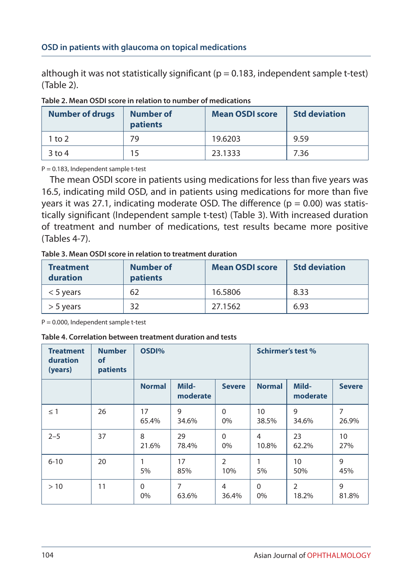although it was not statistically significant ( $p = 0.183$ , independent sample t-test) (Table 2).

| <b>Number of drugs</b> | Number of<br>patients | <b>Mean OSDI score</b> | <b>Std deviation</b> |
|------------------------|-----------------------|------------------------|----------------------|
| 1 to 2                 | 79                    | 19.6203                | 9.59                 |
| $3$ to 4               | 15                    | 23.1333                | 7.36                 |

#### **Table 2. Mean OSDI score in relation to number of medications**

P = 0.183, Independent sample t-test

The mean OSDI score in patients using medications for less than five years was 16.5, indicating mild OSD, and in patients using medications for more than five years it was 27.1, indicating moderate OSD. The difference ( $p = 0.00$ ) was statistically significant (Independent sample t-test) (Table 3). With increased duration of treatment and number of medications, test results became more positive (Tables 4-7).

**Table 3. Mean OSDI score in relation to treatment duration** 

| <b>Treatment</b><br>duration | <b>Number of</b><br>patients | <b>Mean OSDI score</b> | <b>Std deviation</b> |
|------------------------------|------------------------------|------------------------|----------------------|
| $<$ 5 years                  | 62                           | 16.5806                | 8.33                 |
| $> 5$ years                  | 32                           | 27.1562                | 6.93                 |

 $P = 0.000$ , Independent sample t-test

#### **Table 4. Correlation between treatment duration and tests**

| <b>Treatment</b><br>duration<br>(years) | <b>Number</b><br><b>of</b><br>patients | OSDI%             |                   |                       | <b>Schirmer's test %</b> |                         |               |
|-----------------------------------------|----------------------------------------|-------------------|-------------------|-----------------------|--------------------------|-------------------------|---------------|
|                                         |                                        | <b>Normal</b>     | Mild-<br>moderate | <b>Severe</b>         | <b>Normal</b>            | Mild-<br>moderate       | <b>Severe</b> |
| $\leq$ 1                                | 26                                     | 17<br>65.4%       | 9<br>34.6%        | $\Omega$<br>0%        | 10<br>38.5%              | 9<br>34.6%              | 7<br>26.9%    |
| $2 - 5$                                 | 37                                     | 8<br>21.6%        | 29<br>78.4%       | $\Omega$<br>0%        | $\overline{4}$<br>10.8%  | 23<br>62.2%             | 10<br>27%     |
| $6 - 10$                                | 20                                     | 1<br>5%           | 17<br>85%         | $\overline{2}$<br>10% | 1<br>5%                  | 10<br>50%               | 9<br>45%      |
| >10                                     | 11                                     | $\Omega$<br>$0\%$ | 7<br>63.6%        | 4<br>36.4%            | $\Omega$<br>0%           | $\overline{2}$<br>18.2% | 9<br>81.8%    |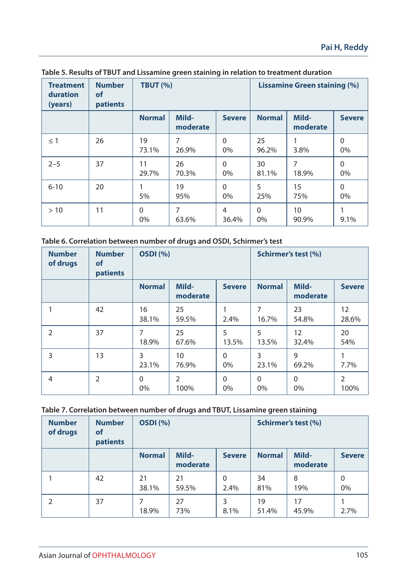| <b>Treatment</b><br>duration<br>(years) | <b>Number</b><br>of<br>patients | <b>TBUT (%)</b> |                   |                |                | <b>Lissamine Green staining (%)</b> |                |
|-----------------------------------------|---------------------------------|-----------------|-------------------|----------------|----------------|-------------------------------------|----------------|
|                                         |                                 | <b>Normal</b>   | Mild-<br>moderate | <b>Severe</b>  | <b>Normal</b>  | Mild-<br>moderate                   | <b>Severe</b>  |
| $\leq$ 1                                | 26                              | 19<br>73.1%     | 7<br>26.9%        | $\Omega$<br>0% | 25<br>96.2%    | 3.8%                                | $\Omega$<br>0% |
| $2 - 5$                                 | 37                              | 11<br>29.7%     | 26<br>70.3%       | $\Omega$<br>0% | 30<br>81.1%    | 7<br>18.9%                          | $\Omega$<br>0% |
| $6 - 10$                                | 20                              | 5%              | 19<br>95%         | $\Omega$<br>0% | 5<br>25%       | 15<br>75%                           | $\Omega$<br>0% |
| >10                                     | 11                              | $\Omega$<br>0%  | 7<br>63.6%        | 4<br>36.4%     | $\Omega$<br>0% | 10<br>90.9%                         | 9.1%           |

| Table 5. Results of TBUT and Lissamine green staining in relation to treatment duration |  |  |  |
|-----------------------------------------------------------------------------------------|--|--|--|
|-----------------------------------------------------------------------------------------|--|--|--|

| Table 6. Correlation between number of drugs and OSDI, Schirmer's test |  |
|------------------------------------------------------------------------|--|
|------------------------------------------------------------------------|--|

| <b>Number</b><br>of drugs | <b>Number</b><br>of<br>patients | <b>OSDI</b> (%) |                        |                |                | Schirmer's test (%) |                            |
|---------------------------|---------------------------------|-----------------|------------------------|----------------|----------------|---------------------|----------------------------|
|                           |                                 | <b>Normal</b>   | Mild-<br>moderate      | <b>Severe</b>  | <b>Normal</b>  | Mild-<br>moderate   | <b>Severe</b>              |
|                           | 42                              | 16<br>38.1%     | 25<br>59.5%            | 2.4%           | 7<br>16.7%     | 23<br>54.8%         | $12 \overline{ }$<br>28.6% |
| $\overline{2}$            | 37                              | 7<br>18.9%      | 25<br>67.6%            | 5<br>13.5%     | 5<br>13.5%     | 12<br>32.4%         | 20<br>54%                  |
| 3                         | 13                              | 3<br>23.1%      | 10<br>76.9%            | $\Omega$<br>0% | 3<br>23.1%     | 9<br>69.2%          | 7.7%                       |
| 4                         | $\overline{2}$                  | $\Omega$<br>0%  | $\overline{2}$<br>100% | $\Omega$<br>0% | $\Omega$<br>0% | $\Omega$<br>0%      | 2<br>100%                  |

**Table 7. Correlation between number of drugs and TBUT, Lissamine green staining**

| <b>Number</b><br>of drugs | <b>Number</b><br>of<br>patients | <b>OSDI</b> (%) |                   |               |               | Schirmer's test (%) |                |
|---------------------------|---------------------------------|-----------------|-------------------|---------------|---------------|---------------------|----------------|
|                           |                                 | <b>Normal</b>   | Mild-<br>moderate | <b>Severe</b> | <b>Normal</b> | Mild-<br>moderate   | <b>Severe</b>  |
|                           | 42                              | 21<br>38.1%     | 21<br>59.5%       | 0<br>2.4%     | 34<br>81%     | 8<br>19%            | $\Omega$<br>0% |
|                           | 37                              | 7<br>18.9%      | 27<br>73%         | 3<br>8.1%     | 19<br>51.4%   | 17<br>45.9%         | 2.7%           |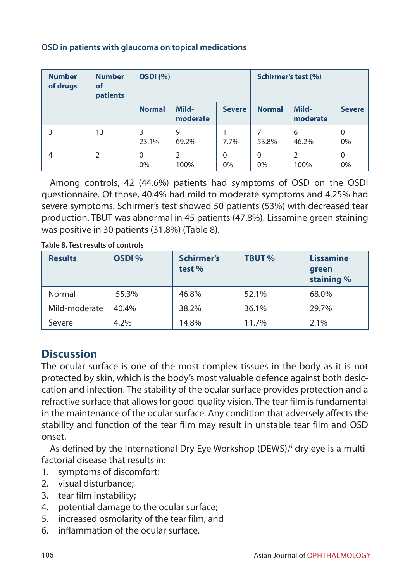#### **Number of drugs Number of patients OSDI (%) Schirmer's test (%) Normal Mildmoderate Severe Normal Mildmoderate Severe** 3 13 3 23.1% 9 69.2% 1 7.7% 7 53.8% 6 46.2%  $\Omega$ 0% 4 2 0 0%  $\overline{2}$ 100%  $\Omega$ 0%  $\Omega$ 0%  $\overline{2}$ 100%  $\Omega$ 0%

#### **OSD in patients with glaucoma on topical medications**

Among controls, 42 (44.6%) patients had symptoms of OSD on the OSDI questionnaire. Of those, 40.4% had mild to moderate symptoms and 4.25% had severe symptoms. Schirmer's test showed 50 patients (53%) with decreased tear production. TBUT was abnormal in 45 patients (47.8%). Lissamine green staining was positive in 30 patients (31.8%) (Table 8).

**Table 8. Test results of controls** 

| <b>Results</b> | OSDI % | <b>Schirmer's</b><br>test % | <b>TBUT %</b> | <b>Lissamine</b><br>green<br>staining % |
|----------------|--------|-----------------------------|---------------|-----------------------------------------|
| Normal         | 55.3%  | 46.8%                       | 52.1%         | 68.0%                                   |
| Mild-moderate  | 40.4%  | 38.2%                       | 36.1%         | 29.7%                                   |
| Severe         | 4.2%   | 14.8%                       | 11.7%         | 2.1%                                    |

## **Discussion**

The ocular surface is one of the most complex tissues in the body as it is not protected by skin, which is the body's most valuable defence against both desiccation and infection. The stability of the ocular surface provides protection and a refractive surface that allows for good-quality vision. The tear film is fundamental in the maintenance of the ocular surface. Any condition that adversely affects the stability and function of the tear film may result in unstable tear film and OSD onset.

As defined by the International Dry Eye Workshop (DEWS),<sup>6</sup> dry eye is a multifactorial disease that results in:

- 1. symptoms of discomfort;
- 2. visual disturbance;
- 3. tear film instability;
- 4. potential damage to the ocular surface;
- 5. increased osmolarity of the tear film; and
- 6. inflammation of the ocular surface.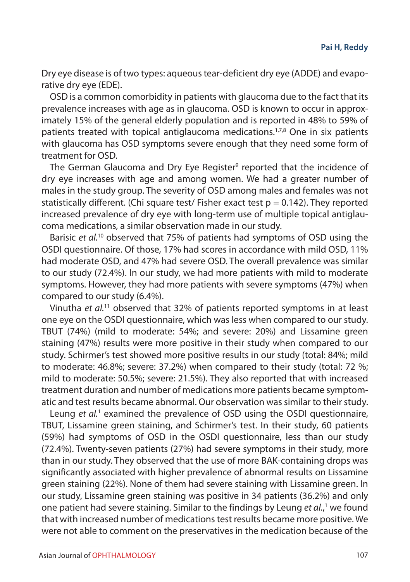Dry eye disease is of two types: aqueous tear-deficient dry eye (ADDE) and evaporative dry eye (EDE).

OSD is a common comorbidity in patients with glaucoma due to the fact that its prevalence increases with age as in glaucoma. OSD is known to occur in approximately 15% of the general elderly population and is reported in 48% to 59% of patients treated with topical antiglaucoma medications.<sup>1,7,8</sup> One in six patients with glaucoma has OSD symptoms severe enough that they need some form of treatment for OSD.

The German Glaucoma and Dry Eye Register<sup>9</sup> reported that the incidence of dry eye increases with age and among women. We had a greater number of males in the study group. The severity of OSD among males and females was not statistically different. (Chi square test/ Fisher exact test  $p = 0.142$ ). They reported increased prevalence of dry eye with long-term use of multiple topical antiglaucoma medications, a similar observation made in our study.

Barisic *et al.*10 observed that 75% of patients had symptoms of OSD using the OSDI questionnaire. Of those, 17% had scores in accordance with mild OSD, 11% had moderate OSD, and 47% had severe OSD. The overall prevalence was similar to our study (72.4%). In our study, we had more patients with mild to moderate symptoms. However, they had more patients with severe symptoms (47%) when compared to our study (6.4%).

Vinutha *et al.*11 observed that 32% of patients reported symptoms in at least one eye on the OSDI questionnaire, which was less when compared to our study. TBUT (74%) (mild to moderate: 54%; and severe: 20%) and Lissamine green staining (47%) results were more positive in their study when compared to our study. Schirmer's test showed more positive results in our study (total: 84%; mild to moderate: 46.8%; severe: 37.2%) when compared to their study (total: 72 %; mild to moderate: 50.5%; severe: 21.5%). They also reported that with increased treatment duration and number of medications more patients became symptomatic and test results became abnormal. Our observation was similar to their study.

Leung et al.<sup>1</sup> examined the prevalence of OSD using the OSDI questionnaire, TBUT, Lissamine green staining, and Schirmer's test. In their study, 60 patients (59%) had symptoms of OSD in the OSDI questionnaire, less than our study (72.4%). Twenty-seven patients (27%) had severe symptoms in their study, more than in our study. They observed that the use of more BAK-containing drops was significantly associated with higher prevalence of abnormal results on Lissamine green staining (22%). None of them had severe staining with Lissamine green. In our study, Lissamine green staining was positive in 34 patients (36.2%) and only one patient had severe staining. Similar to the findings by Leung *et al.*,<sup>1</sup> we found that with increased number of medications test results became more positive. We were not able to comment on the preservatives in the medication because of the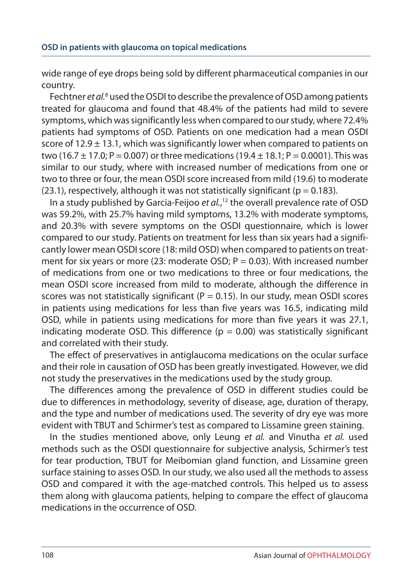wide range of eye drops being sold by different pharmaceutical companies in our country.

Fechtner *et al.<sup>8</sup>* used the OSDI to describe the prevalence of OSD among patients treated for glaucoma and found that 48.4% of the patients had mild to severe symptoms, which was significantly less when compared to our study, where 72.4% patients had symptoms of OSD. Patients on one medication had a mean OSDI score of  $12.9 \pm 13.1$ , which was significantly lower when compared to patients on two (16.7  $\pm$  17.0; P = 0.007) or three medications (19.4  $\pm$  18.1; P = 0.0001). This was similar to our study, where with increased number of medications from one or two to three or four, the mean OSDI score increased from mild (19.6) to moderate (23.1), respectively, although it was not statistically significant ( $p = 0.183$ ).

In a study published by Garcia-Feijoo *et al.*, 12 the overall prevalence rate of OSD was 59.2%, with 25.7% having mild symptoms, 13.2% with moderate symptoms, and 20.3% with severe symptoms on the OSDI questionnaire, which is lower compared to our study. Patients on treatment for less than six years had a significantly lower mean OSDI score (18: mild OSD) when compared to patients on treatment for six years or more (23: moderate OSD;  $P = 0.03$ ). With increased number of medications from one or two medications to three or four medications, the mean OSDI score increased from mild to moderate, although the difference in scores was not statistically significant ( $P = 0.15$ ). In our study, mean OSDI scores in patients using medications for less than five years was 16.5, indicating mild OSD, while in patients using medications for more than five years it was 27.1, indicating moderate OSD. This difference ( $p = 0.00$ ) was statistically significant and correlated with their study.

The effect of preservatives in antiglaucoma medications on the ocular surface and their role in causation of OSD has been greatly investigated. However, we did not study the preservatives in the medications used by the study group.

The differences among the prevalence of OSD in different studies could be due to differences in methodology, severity of disease, age, duration of therapy, and the type and number of medications used. The severity of dry eye was more evident with TBUT and Schirmer's test as compared to Lissamine green staining.

In the studies mentioned above, only Leung *et al.* and Vinutha *et al.* used methods such as the OSDI questionnaire for subjective analysis, Schirmer's test for tear production, TBUT for Meibomian gland function, and Lissamine green surface staining to asses OSD. In our study, we also used all the methods to assess OSD and compared it with the age-matched controls. This helped us to assess them along with glaucoma patients, helping to compare the effect of glaucoma medications in the occurrence of OSD.